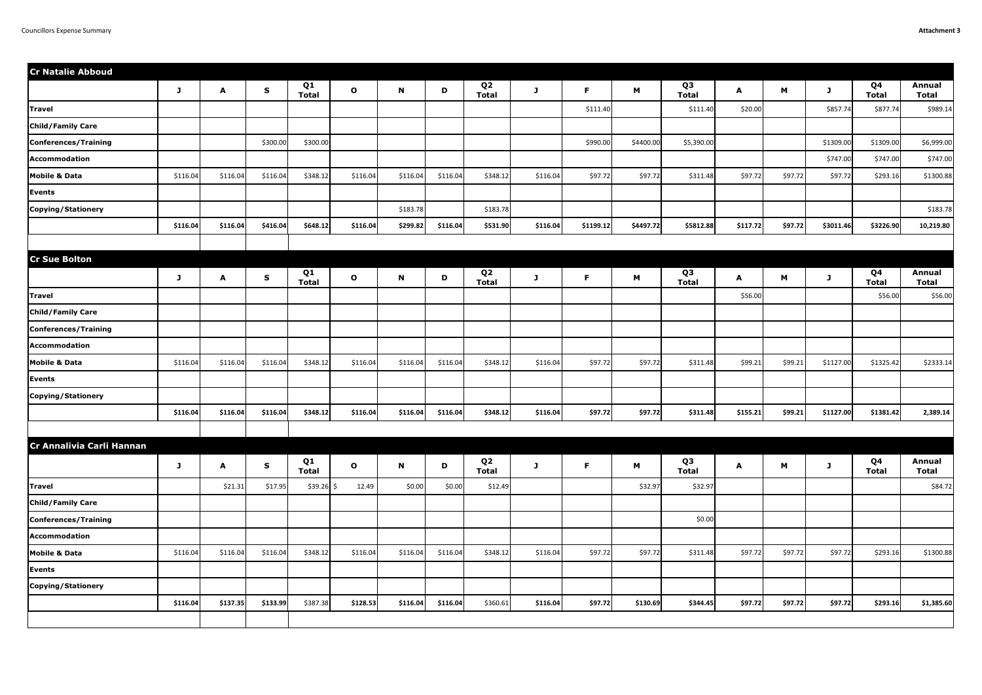| <b>Cr Natalie Abboud</b>  |          |          |             |                    |              |          |          |                                |          |           |           |                                |          |         |           |                                |                               |
|---------------------------|----------|----------|-------------|--------------------|--------------|----------|----------|--------------------------------|----------|-----------|-----------|--------------------------------|----------|---------|-----------|--------------------------------|-------------------------------|
|                           | J        | A        | S           | Q1<br><b>Total</b> | $\mathbf{o}$ | N        | D        | Q <sub>2</sub><br><b>Total</b> | J        | F.        | M         | Q <sub>3</sub><br><b>Total</b> | A        | M       | J         | Q4<br><b>Total</b>             | <b>Annual</b><br><b>Total</b> |
| <b>Travel</b>             |          |          |             |                    |              |          |          |                                |          | \$111.40  |           | \$111.40                       | \$20.00  |         | \$857.74  | \$877.74                       | \$989.14                      |
| <b>Child/Family Care</b>  |          |          |             |                    |              |          |          |                                |          |           |           |                                |          |         |           |                                |                               |
| Conferences/Training      |          |          | \$300.00    | \$300.00           |              |          |          |                                |          | \$990.00  | \$4400.00 | \$5,390.00                     |          |         | \$1309.00 | \$1309.00                      | \$6,999.00                    |
| Accommodation             |          |          |             |                    |              |          |          |                                |          |           |           |                                |          |         | \$747.00  | \$747.00                       | \$747.00                      |
| <b>Mobile &amp; Data</b>  | \$116.04 | \$116.04 | \$116.04    | \$348.12           | \$116.04     | \$116.04 | \$116.04 | \$348.12                       | \$116.04 | \$97.72   | \$97.72   | \$311.48                       | \$97.72  | \$97.72 | \$97.72   | \$293.16                       | \$1300.88                     |
| <b>Events</b>             |          |          |             |                    |              |          |          |                                |          |           |           |                                |          |         |           |                                |                               |
| Copying/Stationery        |          |          |             |                    |              | \$183.78 |          | \$183.78                       |          |           |           |                                |          |         |           |                                | \$183.78                      |
|                           | \$116.04 | \$116.04 | \$416.04    | \$648.12           | \$116.04     | \$299.82 | \$116.04 | \$531.90                       | \$116.04 | \$1199.12 | \$4497.72 | \$5812.88                      | \$117.72 | \$97.72 | \$3011.46 | \$3226.90                      | 10,219.80                     |
|                           |          |          |             |                    |              |          |          |                                |          |           |           |                                |          |         |           |                                |                               |
| <b>Cr Sue Bolton</b>      |          |          |             |                    |              |          |          |                                |          |           |           |                                |          |         |           |                                |                               |
|                           | J        | A        | S           | Q1<br><b>Total</b> | $\mathbf{o}$ | N        | D        | Q <sub>2</sub><br><b>Total</b> | J        | F.        | M         | Q <sub>3</sub><br><b>Total</b> | A        | M       | J         | Q <sub>4</sub><br><b>Total</b> | <b>Annual</b><br><b>Total</b> |
| <b>Travel</b>             |          |          |             |                    |              |          |          |                                |          |           |           |                                | \$56.00  |         |           | \$56.00                        | \$56.00                       |
| <b>Child/Family Care</b>  |          |          |             |                    |              |          |          |                                |          |           |           |                                |          |         |           |                                |                               |
| Conferences/Training      |          |          |             |                    |              |          |          |                                |          |           |           |                                |          |         |           |                                |                               |
| Accommodation             |          |          |             |                    |              |          |          |                                |          |           |           |                                |          |         |           |                                |                               |
| <b>Mobile &amp; Data</b>  | \$116.04 | \$116.04 | \$116.04    | \$348.12           | \$116.04     | \$116.04 | \$116.04 | \$348.12                       | \$116.04 | \$97.72   | \$97.72   | \$311.48                       | \$99.21  | \$99.21 | \$1127.00 | \$1325.42                      | \$2333.14                     |
| <b>Events</b>             |          |          |             |                    |              |          |          |                                |          |           |           |                                |          |         |           |                                |                               |
| Copying/Stationery        |          |          |             |                    |              |          |          |                                |          |           |           |                                |          |         |           |                                |                               |
|                           | \$116.04 | \$116.04 | \$116.04    | \$348.12           | \$116.04     | \$116.04 | \$116.04 | \$348.12                       | \$116.04 | \$97.72   | \$97.72   | \$311.48                       | \$155.21 | \$99.21 | \$1127.00 | \$1381.42                      | 2,389.14                      |
|                           |          |          |             |                    |              |          |          |                                |          |           |           |                                |          |         |           |                                |                               |
| Cr Annalivia Carli Hannan |          |          |             |                    |              |          |          |                                |          |           |           |                                |          |         |           |                                |                               |
|                           | J        | A        | $\mathbf S$ | Q1<br><b>Total</b> | $\mathbf{o}$ | N        | D        | Q <sub>2</sub><br><b>Total</b> | J        | F.        | M         | Q <sub>3</sub><br><b>Total</b> | A        | M       | J         | Q4<br><b>Total</b>             | <b>Annual</b><br><b>Total</b> |
| <b>Travel</b>             |          | \$21.31  | \$17.95     | $$39.26$ \$        | 12.49        | \$0.00   | \$0.00   | \$12.49                        |          |           | \$32.97   | \$32.97                        |          |         |           |                                | \$84.72                       |
| <b>Child/Family Care</b>  |          |          |             |                    |              |          |          |                                |          |           |           |                                |          |         |           |                                |                               |
| Conferences/Training      |          |          |             |                    |              |          |          |                                |          |           |           | \$0.00                         |          |         |           |                                |                               |
| Accommodation             |          |          |             |                    |              |          |          |                                |          |           |           |                                |          |         |           |                                |                               |
| <b>Mobile &amp; Data</b>  | \$116.04 | \$116.04 | \$116.04    | \$348.12           | \$116.04     | \$116.04 | \$116.04 | \$348.12                       | \$116.04 | \$97.72   | \$97.72   | \$311.48                       | \$97.72  | \$97.72 | \$97.72   | \$293.16                       | \$1300.88                     |
| Events                    |          |          |             |                    |              |          |          |                                |          |           |           |                                |          |         |           |                                |                               |
| Copying/Stationery        |          |          |             |                    |              |          |          |                                |          |           |           |                                |          |         |           |                                |                               |
|                           | \$116.04 | \$137.35 | \$133.99    | \$387.38           | \$128.53     | \$116.04 | \$116.04 | \$360.61                       | \$116.04 | \$97.72   | \$130.69  | \$344.45                       | \$97.72  | \$97.72 | \$97.72   | \$293.16                       | \$1,385.60                    |
|                           |          |          |             |                    |              |          |          |                                |          |           |           |                                |          |         |           |                                |                               |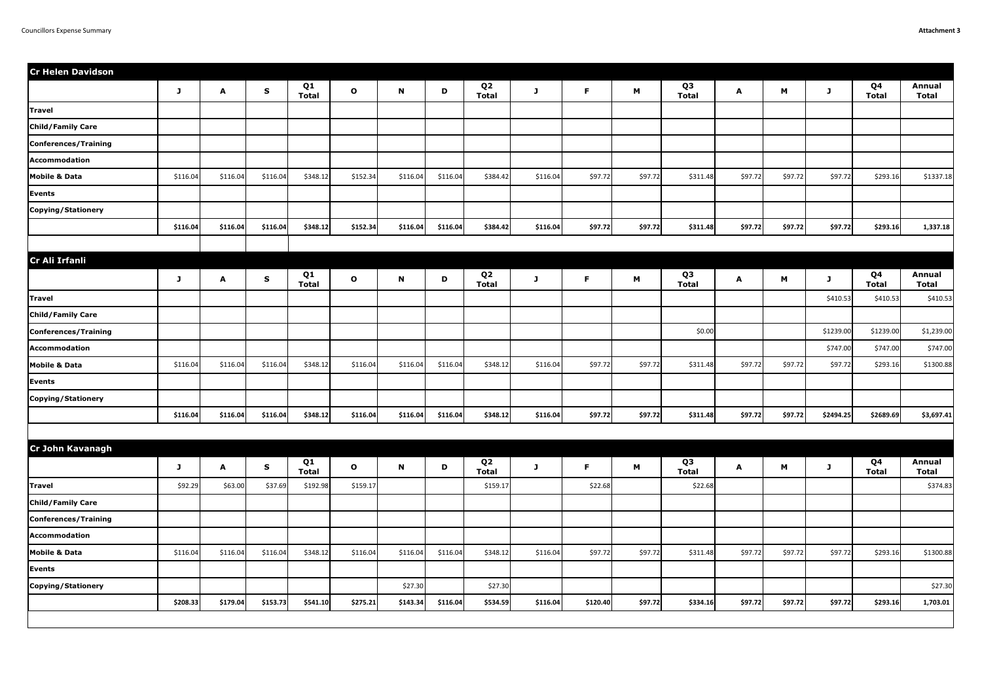| <b>Cr Helen Davidson</b> |          |          |             |                    |              |          |          |                                |          |          |         |                                |         |         |           |                                |                               |
|--------------------------|----------|----------|-------------|--------------------|--------------|----------|----------|--------------------------------|----------|----------|---------|--------------------------------|---------|---------|-----------|--------------------------------|-------------------------------|
|                          | J        | A        | S           | Q1<br><b>Total</b> | $\mathbf{o}$ | N        | D        | Q <sub>2</sub><br><b>Total</b> | J        | F.       | M       | Q <sub>3</sub><br><b>Total</b> | A       | M       | J         | Q4<br><b>Total</b>             | <b>Annual</b><br><b>Total</b> |
| <b>Travel</b>            |          |          |             |                    |              |          |          |                                |          |          |         |                                |         |         |           |                                |                               |
| <b>Child/Family Care</b> |          |          |             |                    |              |          |          |                                |          |          |         |                                |         |         |           |                                |                               |
| Conferences/Training     |          |          |             |                    |              |          |          |                                |          |          |         |                                |         |         |           |                                |                               |
| Accommodation            |          |          |             |                    |              |          |          |                                |          |          |         |                                |         |         |           |                                |                               |
| <b>Mobile &amp; Data</b> | \$116.04 | \$116.04 | \$116.04    | \$348.12           | \$152.34     | \$116.04 | \$116.04 | \$384.42                       | \$116.04 | \$97.72  | \$97.72 | \$311.48                       | \$97.72 | \$97.72 | \$97.72   | \$293.16                       | \$1337.18                     |
| Events                   |          |          |             |                    |              |          |          |                                |          |          |         |                                |         |         |           |                                |                               |
| Copying/Stationery       |          |          |             |                    |              |          |          |                                |          |          |         |                                |         |         |           |                                |                               |
|                          | \$116.04 | \$116.04 | \$116.04    | \$348.12           | \$152.34     | \$116.04 | \$116.04 | \$384.42                       | \$116.04 | \$97.72  | \$97.72 | \$311.48                       | \$97.72 | \$97.72 | \$97.72   | \$293.16                       | 1,337.18                      |
|                          |          |          |             |                    |              |          |          |                                |          |          |         |                                |         |         |           |                                |                               |
| Cr Ali Irfanli           |          |          |             |                    |              |          |          |                                |          |          |         |                                |         |         |           |                                |                               |
|                          | J        | A        | $\mathbf S$ | Q1<br><b>Total</b> | $\mathbf{o}$ | N        | D        | Q <sub>2</sub><br><b>Total</b> | J        | F.       | M       | Q <sub>3</sub><br><b>Total</b> | A       | M       | J         | Q <sub>4</sub><br><b>Total</b> | <b>Annual</b><br><b>Total</b> |
| <b>Travel</b>            |          |          |             |                    |              |          |          |                                |          |          |         |                                |         |         | \$410.53  | \$410.53                       | \$410.53                      |
| <b>Child/Family Care</b> |          |          |             |                    |              |          |          |                                |          |          |         |                                |         |         |           |                                |                               |
| Conferences/Training     |          |          |             |                    |              |          |          |                                |          |          |         | \$0.00                         |         |         | \$1239.00 | \$1239.00                      | \$1,239.00                    |
| Accommodation            |          |          |             |                    |              |          |          |                                |          |          |         |                                |         |         | \$747.00  | \$747.00                       | \$747.00                      |
| <b>Mobile &amp; Data</b> | \$116.04 | \$116.04 | \$116.04    | \$348.12           | \$116.04     | \$116.04 | \$116.04 | \$348.12                       | \$116.04 | \$97.72  | \$97.72 | \$311.48                       | \$97.72 | \$97.72 | \$97.72   | \$293.16                       | \$1300.88                     |
| Events                   |          |          |             |                    |              |          |          |                                |          |          |         |                                |         |         |           |                                |                               |
| Copying/Stationery       |          |          |             |                    |              |          |          |                                |          |          |         |                                |         |         |           |                                |                               |
|                          | \$116.04 | \$116.04 | \$116.04    | \$348.12           | \$116.04     | \$116.04 | \$116.04 | \$348.12                       | \$116.04 | \$97.72  | \$97.72 | \$311.48                       | \$97.72 | \$97.72 | \$2494.25 | \$2689.69                      | \$3,697.41                    |
|                          |          |          |             |                    |              |          |          |                                |          |          |         |                                |         |         |           |                                |                               |
| <b>Cr John Kavanagh</b>  |          |          |             |                    |              |          |          |                                |          |          |         |                                |         |         |           |                                |                               |
|                          | J        | A        | $\mathbf S$ | Q1<br><b>Total</b> | $\mathbf{o}$ | N        | D        | Q <sub>2</sub><br><b>Total</b> | J        | F.       | M       | Q3<br><b>Total</b>             | A       | M       | J         | Q <sub>4</sub><br><b>Total</b> | <b>Annual</b><br><b>Total</b> |
| <b>Travel</b>            | \$92.29  | \$63.00  | \$37.69     | \$192.98           | \$159.17     |          |          | \$159.17                       |          | \$22.68  |         | \$22.68                        |         |         |           |                                | \$374.83                      |
| <b>Child/Family Care</b> |          |          |             |                    |              |          |          |                                |          |          |         |                                |         |         |           |                                |                               |
| Conferences/Training     |          |          |             |                    |              |          |          |                                |          |          |         |                                |         |         |           |                                |                               |
| Accommodation            |          |          |             |                    |              |          |          |                                |          |          |         |                                |         |         |           |                                |                               |
| <b>Mobile &amp; Data</b> | \$116.04 | \$116.04 | \$116.04    | \$348.12           | \$116.04     | \$116.04 | \$116.04 | \$348.12                       | \$116.04 | \$97.72  | \$97.72 | \$311.48                       | \$97.72 | \$97.72 | \$97.72   | \$293.16                       | \$1300.88                     |
| Events                   |          |          |             |                    |              |          |          |                                |          |          |         |                                |         |         |           |                                |                               |
| Copying/Stationery       |          |          |             |                    |              | \$27.30  |          | \$27.30                        |          |          |         |                                |         |         |           |                                | \$27.30                       |
|                          | \$208.33 | \$179.04 | \$153.73    | \$541.10           | \$275.21     | \$143.34 | \$116.04 | \$534.59                       | \$116.04 | \$120.40 | \$97.72 | \$334.16                       | \$97.72 | \$97.72 | \$97.72   | \$293.16                       | 1,703.01                      |
|                          |          |          |             |                    |              |          |          |                                |          |          |         |                                |         |         |           |                                |                               |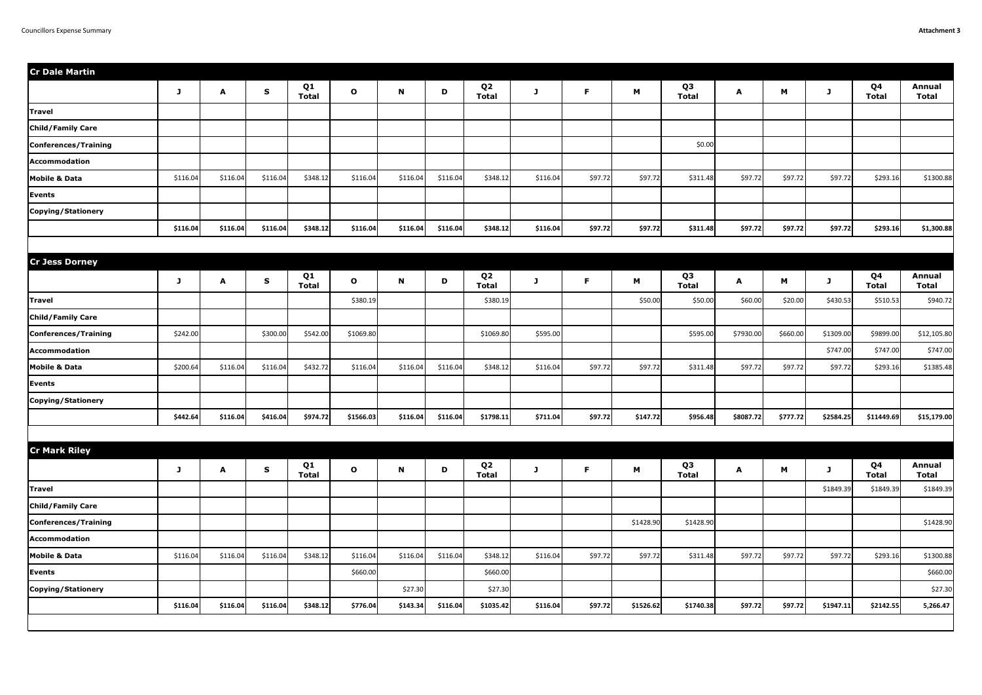| <b>Cr Dale Martin</b>    |          |          |             |                    |              |             |          |                                |          |         |           |                                |              |          |           |                    |                               |
|--------------------------|----------|----------|-------------|--------------------|--------------|-------------|----------|--------------------------------|----------|---------|-----------|--------------------------------|--------------|----------|-----------|--------------------|-------------------------------|
|                          | J        | A        | $\mathbf S$ | Q1<br><b>Total</b> | $\mathbf{o}$ | $\mathbf N$ | D        | Q <sub>2</sub><br><b>Total</b> | J        | F.      | M         | Q <sub>3</sub><br><b>Total</b> | $\mathbf{A}$ | M        | J         | Q4<br><b>Total</b> | <b>Annual</b><br><b>Total</b> |
| <b>Travel</b>            |          |          |             |                    |              |             |          |                                |          |         |           |                                |              |          |           |                    |                               |
| <b>Child/Family Care</b> |          |          |             |                    |              |             |          |                                |          |         |           |                                |              |          |           |                    |                               |
| Conferences/Training     |          |          |             |                    |              |             |          |                                |          |         |           | \$0.00                         |              |          |           |                    |                               |
| Accommodation            |          |          |             |                    |              |             |          |                                |          |         |           |                                |              |          |           |                    |                               |
| <b>Mobile &amp; Data</b> | \$116.04 | \$116.04 | \$116.04    | \$348.12           | \$116.04     | \$116.04    | \$116.04 | \$348.12                       | \$116.04 | \$97.72 | \$97.72   | \$311.48                       | \$97.72      | \$97.72  | \$97.72   | \$293.16           | \$1300.88                     |
| Events                   |          |          |             |                    |              |             |          |                                |          |         |           |                                |              |          |           |                    |                               |
| Copying/Stationery       |          |          |             |                    |              |             |          |                                |          |         |           |                                |              |          |           |                    |                               |
|                          | \$116.04 | \$116.04 | \$116.04    | \$348.12           | \$116.04     | \$116.04    | \$116.04 | \$348.12                       | \$116.04 | \$97.72 | \$97.72   | \$311.48                       | \$97.72      | \$97.72  | \$97.72   | \$293.16           | \$1,300.88                    |
|                          |          |          |             |                    |              |             |          |                                |          |         |           |                                |              |          |           |                    |                               |
| <b>Cr Jess Dorney</b>    |          |          |             |                    |              |             |          |                                |          |         |           |                                |              |          |           |                    |                               |
|                          | J        | A        | $\mathbf S$ | Q1<br><b>Total</b> | $\mathbf{o}$ | $\mathbf N$ | D        | Q <sub>2</sub><br><b>Total</b> | J        | F.      | M         | Q <sub>3</sub><br><b>Total</b> | A            | M        | J         | Q4<br><b>Total</b> | <b>Annual</b><br><b>Total</b> |
| <b>Travel</b>            |          |          |             |                    | \$380.19     |             |          | \$380.19                       |          |         | \$50.00   | \$50.00                        | \$60.00      | \$20.00  | \$430.53  | \$510.53           | \$940.72                      |
| <b>Child/Family Care</b> |          |          |             |                    |              |             |          |                                |          |         |           |                                |              |          |           |                    |                               |
| Conferences/Training     | \$242.00 |          | \$300.00    | \$542.00           | \$1069.80    |             |          | \$1069.80                      | \$595.00 |         |           | \$595.00                       | \$7930.00    | \$660.00 | \$1309.00 | \$9899.00          | \$12,105.80                   |
| Accommodation            |          |          |             |                    |              |             |          |                                |          |         |           |                                |              |          | \$747.00  | \$747.00           | \$747.00                      |
| <b>Mobile &amp; Data</b> | \$200.64 | \$116.04 | \$116.04    | \$432.72           | \$116.04     | \$116.04    | \$116.04 | \$348.12                       | \$116.04 | \$97.72 | \$97.72   | \$311.48                       | \$97.72      | \$97.72  | \$97.72   | \$293.16           | \$1385.48                     |
| Events                   |          |          |             |                    |              |             |          |                                |          |         |           |                                |              |          |           |                    |                               |
| Copying/Stationery       |          |          |             |                    |              |             |          |                                |          |         |           |                                |              |          |           |                    |                               |
|                          | \$442.64 | \$116.04 | \$416.04    | \$974.72           | \$1566.03    | \$116.04    | \$116.04 | \$1798.11                      | \$711.04 | \$97.72 | \$147.72  | \$956.48                       | \$8087.72    | \$777.72 | \$2584.25 | \$11449.69         | \$15,179.00                   |
|                          |          |          |             |                    |              |             |          |                                |          |         |           |                                |              |          |           |                    |                               |
| <b>Cr Mark Riley</b>     |          |          |             |                    |              |             |          |                                |          |         |           |                                |              |          |           |                    |                               |
|                          | J        | A        | $\mathbf S$ | Q1<br><b>Total</b> | $\mathbf{o}$ | $\mathbf N$ | D        | Q <sub>2</sub><br><b>Total</b> | J        | F.      | M         | Q3<br><b>Total</b>             | $\mathbf{A}$ | M        | J         | Q4<br><b>Total</b> | <b>Annual</b><br><b>Total</b> |
| <b>Travel</b>            |          |          |             |                    |              |             |          |                                |          |         |           |                                |              |          | \$1849.39 | \$1849.39          | \$1849.39                     |
| <b>Child/Family Care</b> |          |          |             |                    |              |             |          |                                |          |         |           |                                |              |          |           |                    |                               |
| Conferences/Training     |          |          |             |                    |              |             |          |                                |          |         | \$1428.90 | \$1428.90                      |              |          |           |                    | \$1428.90                     |
| Accommodation            |          |          |             |                    |              |             |          |                                |          |         |           |                                |              |          |           |                    |                               |
| <b>Mobile &amp; Data</b> | \$116.04 | \$116.04 | \$116.04    | \$348.12           | \$116.04     | \$116.04    | \$116.04 | \$348.12                       | \$116.04 | \$97.72 | \$97.72   | \$311.48                       | \$97.72      | \$97.72  | \$97.72   | \$293.16           | \$1300.88                     |
| Events                   |          |          |             |                    | \$660.00     |             |          | \$660.00                       |          |         |           |                                |              |          |           |                    | \$660.00                      |
| Copying/Stationery       |          |          |             |                    |              | \$27.30     |          | \$27.30                        |          |         |           |                                |              |          |           |                    | \$27.30                       |
|                          | \$116.04 | \$116.04 | \$116.04    | \$348.12           | \$776.04     | \$143.34    | \$116.04 | \$1035.42                      | \$116.04 | \$97.72 | \$1526.62 | \$1740.38                      | \$97.72      | \$97.72  | \$1947.11 | \$2142.55          | 5,266.47                      |
|                          |          |          |             |                    |              |             |          |                                |          |         |           |                                |              |          |           |                    |                               |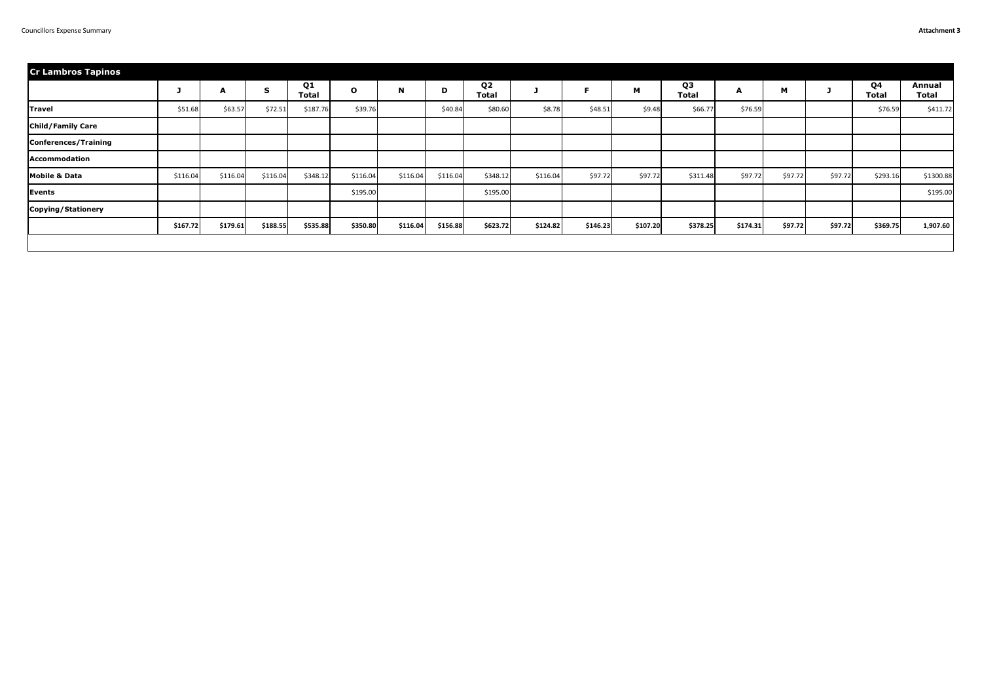| <b>Cr Lambros Tapinos</b> |          |          |             |                    |              |             |          |                                |          |          |          |                                |          |         |         |                    |                        |
|---------------------------|----------|----------|-------------|--------------------|--------------|-------------|----------|--------------------------------|----------|----------|----------|--------------------------------|----------|---------|---------|--------------------|------------------------|
|                           |          | A        | $\mathbf S$ | Q1<br><b>Total</b> | $\mathbf{o}$ | $\mathbf N$ | D        | Q <sub>2</sub><br><b>Total</b> |          | E        | M        | Q <sub>3</sub><br><b>Total</b> | A        | M       |         | Q4<br><b>Total</b> | Annual<br><b>Total</b> |
| <b>Travel</b>             | \$51.68  | \$63.57  | \$72.51     | \$187.76           | \$39.76      |             | \$40.84  | \$80.60                        | \$8.78   | \$48.51  | \$9.48   | \$66.77                        | \$76.59  |         |         | \$76.59            | \$411.72               |
| <b>Child/Family Care</b>  |          |          |             |                    |              |             |          |                                |          |          |          |                                |          |         |         |                    |                        |
| Conferences/Training      |          |          |             |                    |              |             |          |                                |          |          |          |                                |          |         |         |                    |                        |
| Accommodation             |          |          |             |                    |              |             |          |                                |          |          |          |                                |          |         |         |                    |                        |
| <b>Mobile &amp; Data</b>  | \$116.04 | \$116.04 | \$116.04    | \$348.12           | \$116.04     | \$116.04    | \$116.04 | \$348.12                       | \$116.04 | \$97.72  | \$97.72  | \$311.48                       | \$97.72  | \$97.72 | \$97.72 | \$293.16           | \$1300.88              |
| Events                    |          |          |             |                    | \$195.00     |             |          | \$195.00                       |          |          |          |                                |          |         |         |                    | \$195.00               |
| Copying/Stationery        |          |          |             |                    |              |             |          |                                |          |          |          |                                |          |         |         |                    |                        |
|                           | \$167.72 | \$179.61 | \$188.55    | \$535.88           | \$350.80     | \$116.04    | \$156.88 | \$623.72                       | \$124.82 | \$146.23 | \$107.20 | \$378.25                       | \$174.31 | \$97.72 | \$97.72 | \$369.75           | 1,907.60               |
|                           |          |          |             |                    |              |             |          |                                |          |          |          |                                |          |         |         |                    |                        |